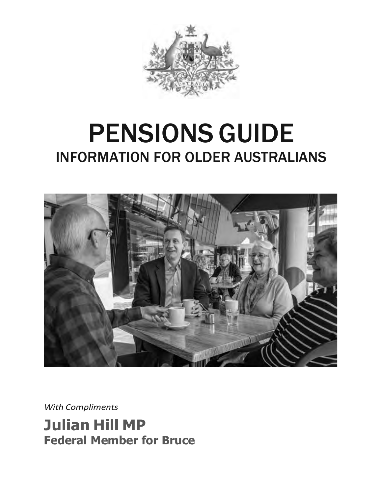

# PENSIONS GUIDE INFORMATION FOR OLDER AUSTRALIANS



*With Compliments*

**Julian Hill MP Federal Member for Bruce**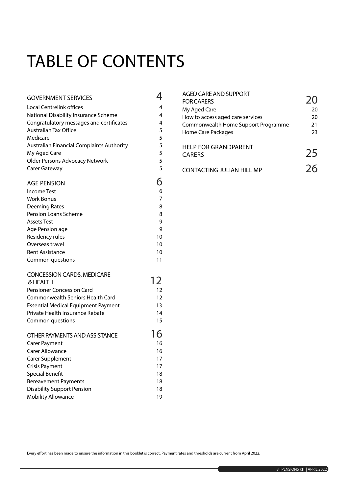# TABLE OF CONTENTS

| <b>GOVERNMENT SERVICES</b>                       | 4  |
|--------------------------------------------------|----|
| <b>Local Centrelink offices</b>                  | 4  |
| National Disability Insurance Scheme             | 4  |
| Congratulatory messages and certificates         | 4  |
| <b>Australian Tax Office</b>                     | 5  |
| Medicare                                         | 5  |
| <b>Australian Financial Complaints Authority</b> | 5  |
| My Aged Care                                     | 5  |
| Older Persons Advocacy Network                   | 5  |
| Carer Gateway                                    | 5  |
| <b>AGE PENSION</b>                               | 6  |
| <b>Income Test</b>                               | 6  |
| <b>Work Bonus</b>                                | 7  |
| Deeming Rates                                    | 8  |
| Pension Loans Scheme                             | 8  |
| <b>Assets Test</b>                               | 9  |
| Age Pension age                                  | 9  |
| Residency rules                                  | 10 |
| Overseas travel                                  | 10 |
| <b>Rent Assistance</b>                           | 10 |
| Common questions                                 | 11 |
| <b>CONCESSION CARDS, MEDICARE</b>                |    |
| & HEALTH                                         | 12 |
| <b>Pensioner Concession Card</b>                 | 12 |
| Commonwealth Seniors Health Card                 | 12 |
| <b>Essential Medical Equipment Payment</b>       | 13 |
| Private Health Insurance Rebate                  | 14 |
| Common questions                                 | 15 |
| OTHER PAYMENTS AND ASSISTANCE                    | 16 |
| <b>Carer Payment</b>                             | 16 |
| <b>Carer Allowance</b>                           | 16 |
| Carer Supplement                                 | 17 |
| <b>Crisis Payment</b>                            | 17 |
| <b>Special Benefit</b>                           | 18 |
| <b>Bereavement Payments</b>                      | 18 |
| <b>Disability Support Pension</b>                | 18 |
| <b>Mobility Allowance</b>                        | 19 |

| <b>AGED CARE AND SUPPORT</b><br><b>FOR CARERS</b> | $\mathcal{D}(\mathcal{A})$ |
|---------------------------------------------------|----------------------------|
| My Aged Care                                      | 20                         |
| How to access aged care services                  | 20                         |
| Commonwealth Home Support Programme               | 21                         |
| Home Care Packages                                | 23                         |
| <b>HELP FOR GRANDPARENT</b><br><b>CARERS</b>      | 25                         |
| <b>CONTACTING JULIAN HILL MP</b>                  | 76                         |

Every effort has been made to ensure the information in this booklet is correct. Payment rates and thresholds are current from April 2022.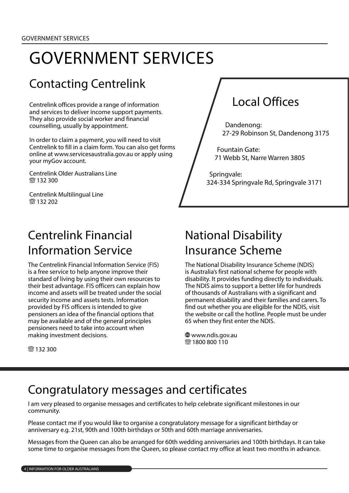# GOVERNMENT SERVICES

## Contacting Centrelink

Centrelink offices provide a range of information and services to deliver income support payments. They also provide social worker and financial counselling, usually by appointment.

In order to claim a payment, you will need to visit Centrelink to fill in a claim form. You can also get forms online at www.servicesaustralia.gov.au or apply using your myGov account.

Centrelink Older Australians Line **8** 132 300

Centrelink Multilingual Line **简132 202** 

### Centrelink Financial Information Service

The Centrelink Financial Information Service (FIS) is a free service to help anyone improve their standard of living by using their own resources to their best advantage. FIS officers can explain how income and assets will be treated under the social security income and assets tests. Information provided by FIS officers is intended to give pensioners an idea of the financial options that may be available and of the general principles pensioners need to take into account when making investment decisions.

## Local Offices

Dandenong: 27-29 Robinson St, Dandenong 3175

Fountain Gate: 71 Webb St, Narre Warren 3805

Springvale: 324-334 Springvale Rd, Springvale 3171

#### National Disability Insurance Scheme

The National Disability Insurance Scheme (NDIS) is Australia's first national scheme for people with disability. It provides funding directly to individuals. The NDIS aims to support a better life for hundreds of thousands of Australians with a significant and permanent disability and their families and carers. To find out whether you are eligible for the NDIS, visit the website or call the hotline. People must be under 65 when they first enter the NDIS.

 www.ndis.gov.au **8** 1800 800 110

**ිම 132 300** 

#### Congratulatory messages and certificates

I am very pleased to organise messages and certificates to help celebrate significant milestones in our community.

Please contact me if you would like to organise a congratulatory message for a significant birthday or anniversary e.g. 21st, 90th and 100th birthdays or 50th and 60th marriage anniversaries.

Messages from the Queen can also be arranged for 60th wedding anniversaries and 100th birthdays. It can take some time to organise messages from the Queen, so please contact my office at least two months in advance.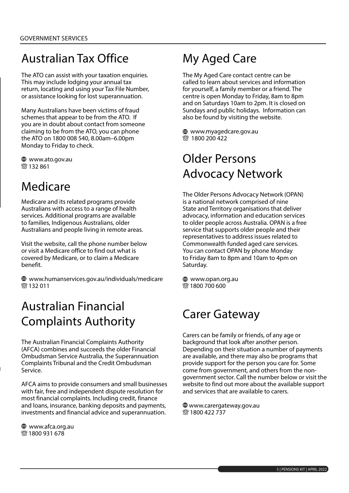## Australian Tax Office

The ATO can assist with your taxation enquiries. This may include lodging your annual tax return, locating and using your Tax File Number, or assistance looking for lost superannuation.

Many Australians have been victims of fraud schemes that appear to be from the ATO. If you are in doubt about contact from someone claiming to be from the ATO, you can phone the ATO on 1800 008 540, 8.00am–6.00pm Monday to Friday to check.

 www.ato.gov.au **83132861** 

### Medicare

Medicare and its related programs provide Australians with access to a range of health services. Additional programs are available to families, Indigenous Australians, older Australians and people living in remote areas.

Visit the website, call the phone number below or visit a Medicare office to find out what is covered by Medicare, or to claim a Medicare benefit.

 www.humanservices.gov.au/individuals/medicare **商132 011** 

### Australian Financial Complaints Authority

The Australian Financial Complaints Authority (AFCA) combines and succeeds the older Financial Ombudsman Service Australia, the Superannuation Complaints Tribunal and the Credit Ombudsman Service.

AFCA aims to provide consumers and small businesses with fair, free and independent dispute resolution for most financial complaints. Including credit, finance and loans, insurance, banking deposits and payments, investments and financial advice and superannuation.

 www.afca.org.au **88 1800 931 678** 

## My Aged Care

The My Aged Care contact centre can be called to learn about services and information for yourself, a family member or a friend. The centre is open Monday to Friday, 8am to 8pm and on Saturdays 10am to 2pm. It is closed on Sundays and public holidays. Information can also be found by visiting the website.

 www.myagedcare.gov.au 1800 200 422

## Older Persons Advocacy Network

The Older Persons Advocacy Network (OPAN) is a national network comprised of nine State and Territory organisations that deliver advocacy, information and education services to older people across Australia. OPAN is a free service that supports older people and their representatives to address issues related to Commonwealth funded aged care services. You can contact OPAN by phone Monday to Friday 8am to 8pm and 10am to 4pm on Saturday.

 www.opan.org.au 1800 700 600

#### Carer Gateway

Carers can be family or friends, of any age or background that look after another person. Depending on their situation a number of payments are available, and there may also be programs that provide support for the person you care for. Some come from government, and others from the nongovernment sector. Call the number below or visit the website to find out more about the available support and services that are available to carers.

 www.carergateway.gov.au 1800 422 737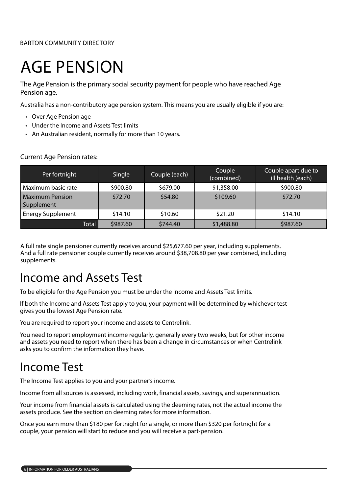# AGE PENSION

The Age Pension is the primary social security payment for people who have reached Age Pension age.

Australia has a non-contributory age pension system. This means you are usually eligible if you are:

- Over Age Pension age
- Under the Income and Assets Test limits
- An Australian resident, normally for more than 10 years.

| Per fortnight                        | Single   | Couple (each) | Couple<br>(combined) | Couple apart due to<br>ill health (each) |
|--------------------------------------|----------|---------------|----------------------|------------------------------------------|
| Maximum basic rate                   | \$900.80 | \$679.00      | \$1,358.00           | \$900.80                                 |
| <b>Maximum Pension</b><br>Supplement | \$72.70  | \$54.80       | \$109.60             | \$72.70                                  |
| <b>Energy Supplement</b>             | \$14.10  | \$10.60       | \$21.20              | \$14.10                                  |
| Total                                | \$987.60 | \$744.40      | \$1,488.80           | \$987.60                                 |

Current Age Pension rates:

A full rate single pensioner currently receives around \$25,677.60 per year, including supplements. And a full rate pensioner couple currently receives around \$38,708.80 per year combined, including supplements.

#### Income and Assets Test

To be eligible for the Age Pension you must be under the income and Assets Test limits.

If both the Income and Assets Test apply to you, your payment will be determined by whichever test gives you the lowest Age Pension rate.

You are required to report your income and assets to Centrelink.

You need to report employment income regularly, generally every two weeks, but for other income and assets you need to report when there has been a change in circumstances or when Centrelink asks you to confirm the information they have.

#### Income Test

The Income Test applies to you and your partner's income.

Income from all sources is assessed, including work, financial assets, savings, and superannuation.

Your income from financial assets is calculated using the deeming rates, not the actual income the assets produce. See the section on deeming rates for more information.

Once you earn more than \$180 per fortnight for a single, or more than \$320 per fortnight for a couple, your pension will start to reduce and you will receive a part-pension.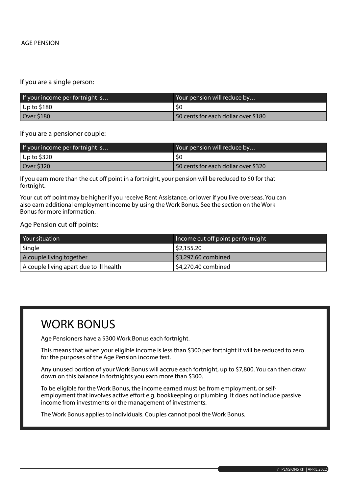If you are a single person:

| If your income per fortnight is | Your pension will reduce by         |
|---------------------------------|-------------------------------------|
| $ $ Up to \$180                 |                                     |
| Over \$180                      | 50 cents for each dollar over \$180 |

If you are a pensioner couple:

| If your income per fortnight is | Your pension will reduce by         |
|---------------------------------|-------------------------------------|
| Up to \$320                     | -SO                                 |
| Over \$320                      | 50 cents for each dollar over \$320 |

If you earn more than the cut off point in a fortnight, your pension will be reduced to \$0 for that fortnight.

Your cut off point may be higher if you receive Rent Assistance, or lower if you live overseas. You can also earn additional employment income by using the Work Bonus. See the section on the Work Bonus for more information.

Age Pension cut off points:

| Your situation                          | Income cut off point per fortnight |
|-----------------------------------------|------------------------------------|
| Single                                  | 52,155.20                          |
| A couple living together                | $\frac{1}{2}$ \$3,297.60 combined  |
| A couple living apart due to ill health | \$4,270.40 combined                |

#### WORK BONUS

Age Pensioners have a \$300 Work Bonus each fortnight.

This means that when your eligible income is less than \$300 per fortnight it will be reduced to zero for the purposes of the Age Pension income test.

Any unused portion of your Work Bonus will accrue each fortnight, up to \$7,800. You can then draw down on this balance in fortnights you earn more than \$300.

To be eligible for the Work Bonus, the income earned must be from employment, or selfemployment that involves active effort e.g. bookkeeping or plumbing. It does not include passive income from investments or the management of investments.

The Work Bonus applies to individuals. Couples cannot pool the Work Bonus.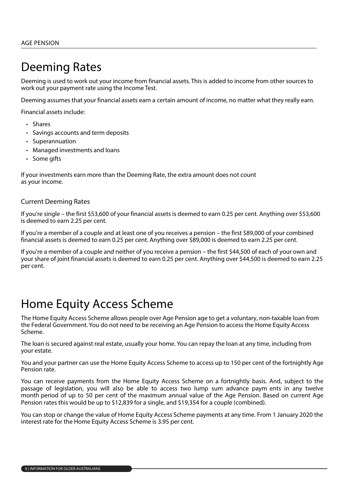### Deeming Rates

Deeming is used to work out your income from financial assets. This is added to income from other sources to work out your payment rate using the Income Test.

Deeming assumes that your financial assets earn a certain amount of income, no matter what they really earn.

Financial assets include:

- Shares
- Savings accounts and term deposits
- Superannuation
- Managed investments and loans
- Some gifts

If your investments earn more than the Deeming Rate, the extra amount does not count as your income.

#### Current Deeming Rates

If you're single – the first \$53,600 of your financial assets is deemed to earn 0.25 per cent. Anything over \$53,600 is deemed to earn 2.25 per cent.

If you're a member of a couple and at least one of you receives a pension – the first \$89,000 of your combined financial assets is deemed to earn 0.25 per cent. Anything over \$89,000 is deemed to earn 2.25 per cent.

If you're a member of a couple and neither of you receive a pension – the first \$44,500 of each of your own and your share of joint financial assets is deemed to earn 0.25 per cent. Anything over \$44,500 is deemed to earn 2.25 per cent.

#### Home Equity Access Scheme

The Home Equity Access Scheme allows people over Age Pension age to get a voluntary, non-taxable loan from the Federal Government. You do not need to be receiving an Age Pension to access the Home Equity Access Scheme.

The loan is secured against real estate, usually your home. You can repay the loan at any time, including from your estate.

You and your partner can use the Home Equity Access Scheme to access up to 150 per cent of the fortnightly Age Pension rate.

You can receive payments from the Home Equity Access Scheme on a fortnightly basis. And, subject to the passage of legislation, you will also be able to access two lump sum advance paym ents in any twelve month period of up to 50 per cent of the maximum annual value of the Age Pension. Based on current Age Pension rates this would be up to \$12,839 for a single, and \$19,354 for a couple (combined).

You can stop or change the value of Home Equity Access Scheme payments at any time. From 1 January 2020 the interest rate for the Home Equity Access Scheme is 3.95 per cent.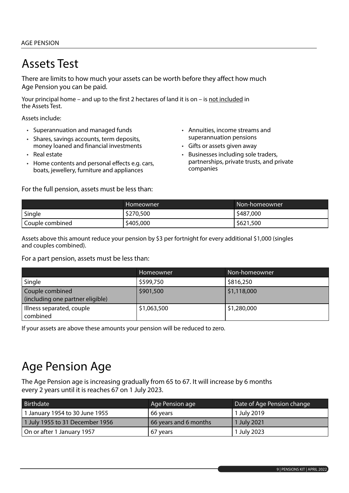## Assets Test

There are limits to how much your assets can be worth before they affect how much Age Pension you can be paid.

Your principal home – and up to the first 2 hectares of land it is on – is not included in the Assets Test.

Assets include:

- Superannuation and managed funds
- Shares, savings accounts, term deposits, money loaned and financial investments
- Real estate
- Home contents and personal effects e.g. cars, boats, jewellery, furniture and appliances

For the full pension, assets must be less than:

- Annuities, income streams and superannuation pensions
- Gifts or assets given away
- Businesses including sole traders, partnerships, private trusts, and private companies

|                 | Homeowner | "Non-homeowner |
|-----------------|-----------|----------------|
| Single          | \$270,500 | \$487,000      |
| Couple combined | \$405,000 | \$621,500      |

Assets above this amount reduce your pension by \$3 per fortnight for every additional \$1,000 (singles and couples combined).

For a part pension, assets must be less than:

|                                                     | <b>Homeowner</b> | Non-homeowner |
|-----------------------------------------------------|------------------|---------------|
| Single                                              | \$599,750        | \$816,250     |
| Couple combined<br>(including one partner eligible) | \$901,500        | \$1,118,000   |
| Illness separated, couple<br>combined               | \$1,063,500      | \$1,280,000   |

If your assets are above these amounts your pension will be reduced to zero.

### Age Pension Age

The Age Pension age is increasing gradually from 65 to 67. It will increase by 6 months every 2 years until it is reaches 67 on 1 July 2023.

| Birthdate                       | Age Pension age       | Date of Age Pension change |
|---------------------------------|-----------------------|----------------------------|
| 1 January 1954 to 30 June 1955  | 66 years              | 1 July 2019                |
| 1 July 1955 to 31 December 1956 | 66 years and 6 months | 1 July 2021                |
| On or after 1 January 1957      | 67 years              | 1 July 2023                |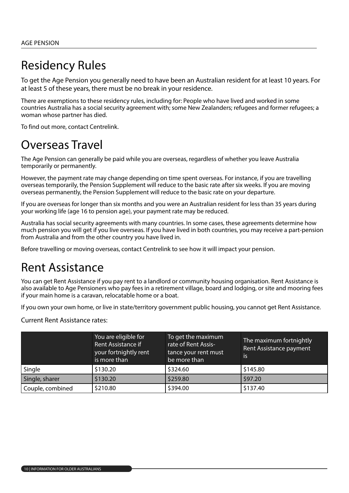### Residency Rules

To get the Age Pension you generally need to have been an Australian resident for at least 10 years. For at least 5 of these years, there must be no break in your residence.

There are exemptions to these residency rules, including for: People who have lived and worked in some countries Australia has a social security agreement with; some New Zealanders; refugees and former refugees; a woman whose partner has died.

To find out more, contact Centrelink.

#### Overseas Travel

The Age Pension can generally be paid while you are overseas, regardless of whether you leave Australia temporarily or permanently.

However, the payment rate may change depending on time spent overseas. For instance, if you are travelling overseas temporarily, the Pension Supplement will reduce to the basic rate after six weeks. If you are moving overseas permanently, the Pension Supplement will reduce to the basic rate on your departure.

If you are overseas for longer than six months and you were an Australian resident for less than 35 years during your working life (age 16 to pension age), your payment rate may be reduced.

Australia has social security agreements with many countries. In some cases, these agreements determine how much pension you will get if you live overseas. If you have lived in both countries, you may receive a part-pension from Australia and from the other country you have lived in.

Before travelling or moving overseas, contact Centrelink to see how it will impact your pension.

#### Rent Assistance

You can get Rent Assistance if you pay rent to a landlord or community housing organisation. Rent Assistance is also available to Age Pensioners who pay fees in a retirement village, board and lodging, or site and mooring fees if your main home is a caravan, relocatable home or a boat.

If you own your own home, or live in state/territory government public housing, you cannot get Rent Assistance.

Current Rent Assistance rates:

|                  | You are eligible for<br>Rent Assistance if<br>your fortnightly rent<br>is more than | To get the maximum<br>rate of Rent Assis-<br>tance your rent must<br>be more than | The maximum fortnightly<br>Rent Assistance payment<br><b>lis</b> |
|------------------|-------------------------------------------------------------------------------------|-----------------------------------------------------------------------------------|------------------------------------------------------------------|
| Single           | \$130.20                                                                            | \$324.60                                                                          | \$145.80                                                         |
| Single, sharer   | \$130.20                                                                            | \$259.80                                                                          | \$97.20                                                          |
| Couple, combined | \$210.80                                                                            | \$394.00                                                                          | \$137.40                                                         |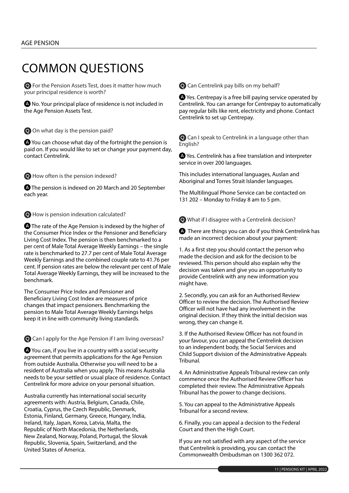#### COMMON QUESTIONS

 For the Pension Assets Test, does it matter how much your principal residence is worth?

 No. Your principal place of residence is not included in the Age Pension Assets Test.

O On what day is the pension paid?

 You can choose what day of the fortnight the pension is paid on. If you would like to set or change your payment day, contact Centrelink.

How often is the pension indexed?

**A** The pension is indexed on 20 March and 20 September each year.

**O** How is pension indexation calculated?

**A** The rate of the Age Pension is indexed by the higher of the Consumer Price Index or the Pensioner and Beneficiary Living Cost Index. The pension is then benchmarked to a per cent of Male Total Average Weekly Earnings – the single rate is benchmarked to 27.7 per cent of Male Total Average Weekly Earnings and the combined couple rate to 41.76 per cent. If pension rates are below the relevant per cent of Male Total Average Weekly Earnings, they will be increased to the benchmark.

The Consumer Price Index and Pensioner and Beneficiary Living Cost Index are measures of price changes that impact pensioners. Benchmarking the pension to Male Total Average Weekly Earnings helps keep it in line with community living standards.

Can I apply for the Age Pension if I am living overseas?

 You can, if you live in a country with a social security agreement that permits applications for the Age Pension from outside Australia. Otherwise you will need to be a resident of Australia when you apply. This means Australia needs to be your settled or usual place of residence. Contact Centrelink for more advice on your personal situation.

Australia currently has international social security agreements with: Austria, Belgium, Canada, Chile, Croatia, Cyprus, the Czech Republic, Denmark, Estonia, Finland, Germany, Greece, Hungary, India, Ireland, Italy, Japan, Korea, Latvia, Malta, the Republic of North Macedonia, the Netherlands, New Zealand, Norway, Poland, Portugal, the Slovak Republic, Slovenia, Spain, Switzerland, and the United States of America.

Can Centrelink pay bills on my behalf?

 Yes. Centrepay is a free bill paying service operated by Centrelink. You can arrange for Centrepay to automatically pay regular bills like rent, electricity and phone. Contact Centrelink to set up Centrepay.

 Can I speak to Centrelink in a language other than English?

 Yes. Centrelink has a free translation and interpreter service in over 200 languages.

This includes international languages, Auslan and Aboriginal and Torres Strait Islander languages.

The Multilingual Phone Service can be contacted on 131 202 – Monday to Friday 8 am to 5 pm.

What if I disagree with a Centrelink decision?

**A** There are things you can do if you think Centrelink has made an incorrect decision about your payment:

1. As a first step you should contact the person who made the decision and ask for the decision to be reviewed. This person should also explain why the decision was taken and give you an opportunity to provide Centrelink with any new information you might have.

2. Secondly, you can ask for an Authorised Review Officer to review the decision. The Authorised Review Officer will not have had any involvement in the original decision. If they think the initial decision was wrong, they can change it.

3. If the Authorised Review Officer has not found in your favour, you can appeal the Centrelink decision to an independent body, the Social Services and Child Support division of the Administrative Appeals Tribunal.

4. An Administrative Appeals Tribunal review can only commence once the Authorised Review Officer has completed their review. The Administrative Appeals Tribunal has the power to change decisions.

5. You can appeal to the Administrative Appeals Tribunal for a second review.

6. Finally, you can appeal a decision to the Federal Court and then the High Court.

If you are not satisfied with any aspect of the service that Centrelink is providing, you can contact the Commonwealth Ombudsman on 1300 362 072.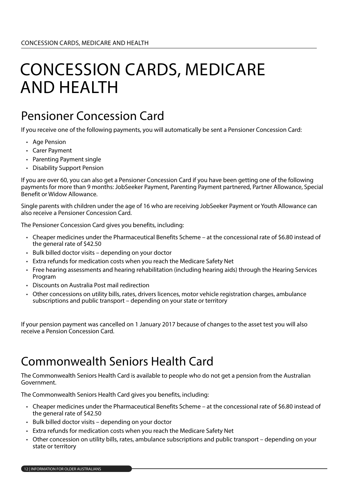# CONCESSION CARDS, MEDICARE AND HEALTH

### Pensioner Concession Card

If you receive one of the following payments, you will automatically be sent a Pensioner Concession Card:

- Age Pension
- Carer Payment
- Parenting Payment single
- Disability Support Pension

If you are over 60, you can also get a Pensioner Concession Card if you have been getting one of the following payments for more than 9 months: JobSeeker Payment, Parenting Payment partnered, Partner Allowance, Special Benefit or Widow Allowance.

Single parents with children under the age of 16 who are receiving JobSeeker Payment or Youth Allowance can also receive a Pensioner Concession Card.

The Pensioner Concession Card gives you benefits, including:

- Cheaper medicines under the Pharmaceutical Benefits Scheme at the concessional rate of \$6.80 instead of the general rate of \$42.50
- Bulk billed doctor visits depending on your doctor
- Extra refunds for medication costs when you reach the Medicare Safety Net
- Free hearing assessments and hearing rehabilitation (including hearing aids) through the Hearing Services Program
- Discounts on Australia Post mail redirection
- Other concessions on utility bills, rates, drivers licences, motor vehicle registration charges, ambulance subscriptions and public transport – depending on your state or territory

If your pension payment was cancelled on 1 January 2017 because of changes to the asset test you will also receive a Pension Concession Card.

### Commonwealth Seniors Health Card

The Commonwealth Seniors Health Card is available to people who do not get a pension from the Australian Government.

The Commonwealth Seniors Health Card gives you benefits, including:

- Cheaper medicines under the Pharmaceutical Benefits Scheme at the concessional rate of \$6.80 instead of the general rate of \$42.50
- Bulk billed doctor visits depending on your doctor
- Extra refunds for medication costs when you reach the Medicare Safety Net
- Other concession on utility bills, rates, ambulance subscriptions and public transport depending on your state or territory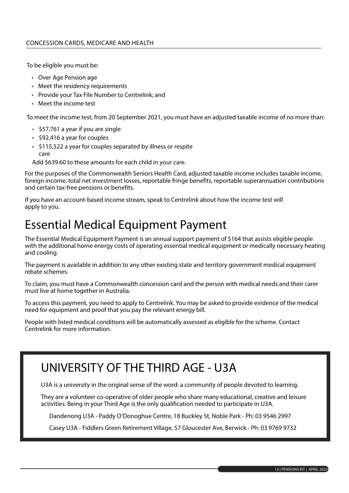To be eligible you must be:

- Over Age Pension age
- Meet the residency requirements
- Provide your Tax File Number to Centrelink; and
- Meet the income test

To meet the income test, from 20 September 2021, you must have an adjusted taxable income of no more than:

- \$57,761 a year if you are single
- \$92,416 a year for couples
- \$115,522 a year for couples separated by illness or respite care

Add \$639.60 to these amounts for each child in your care.

For the purposes of the Commonwealth Seniors Health Card, adjusted taxable income includes taxable income, foreign income, total net investment losses, reportable fringe benefits, reportable superannuation contributions and certain tax-free pensions or benefits.

If you have an account-based income stream, speak to Centrelink about how the income test will apply to you.

#### Essential Medical Equipment Payment

The Essential Medical Equipment Payment is an annual support payment of \$164 that assists eligible people with the additional home energy costs of operating essential medical equipment or medically necessary heating and cooling.

The payment is available in addition to any other existing state and territory government medical equipment rebate schemes.

To claim, you must have a Commonwealth concession card and the person with medical needs and their carer must live at home together in Australia.

To access this payment, you need to apply to Centrelink. You may be asked to provide evidence of the medical need for equipment and proof that you pay the relevant energy bill.

People with listed medical conditions will be automatically assessed as eligible for the scheme. Contact Centrelink for more information.

#### UNIVERSITY OF THE THIRD AGE - U3A

U3A is a university in the original sense of the word: a community of people devoted to learning.

They are a volunteer co-operative of older people who share many educational, creative and leisure activities. Being in your Third Age is the only qualification needed to participate in U3A.

Dandenong U3A - Paddy O'Donoghue Centre, 18 Buckley St, Noble Park - Ph: 03 9546 2997

Casey U3A - Fiddlers Green Retirement Village, 57 Gloucester Ave, Berwick - Ph: 03 9769 9732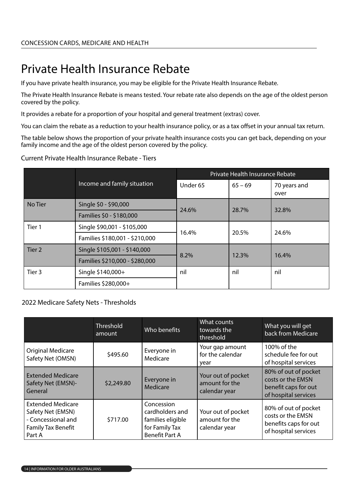## Private Health Insurance Rebate

If you have private health insurance, you may be eligible for the Private Health Insurance Rebate.

The Private Health Insurance Rebate is means tested. Your rebate rate also depends on the age of the oldest person covered by the policy.

It provides a rebate for a proportion of your hospital and general treatment (extras) cover.

You can claim the rebate as a reduction to your health insurance policy, or as a tax offset in your annual tax return.

The table below shows the proportion of your private health insurance costs you can get back, depending on your family income and the age of the oldest person covered by the policy.

#### Current Private Health Insurance Rebate - Tiers

|                   |                                | Private Health Insurance Rebate |           |                      |
|-------------------|--------------------------------|---------------------------------|-----------|----------------------|
|                   | Income and family situation    |                                 | $65 - 69$ | 70 years and<br>over |
| No Tier           | Single \$0 - \$90,000          | 24.6%                           | 28.7%     | 32.8%                |
|                   | Families \$0 - \$180,000       |                                 |           |                      |
| Tier 1            | Single \$90,001 - \$105,000    | 16.4%                           | 20.5%     | 24.6%                |
|                   | Families \$180,001 - \$210,000 |                                 |           |                      |
| Tier <sub>2</sub> | Single \$105,001 - \$140,000   |                                 |           | 16.4%                |
|                   | Families \$210,000 - \$280,000 | 8.2%                            | 12.3%     |                      |
| Tier 3            | Single \$140,000+<br>nil       |                                 | nil       | nil                  |
|                   | Families \$280,000+            |                                 |           |                      |

#### 2022 Medicare Safety Nets - Thresholds

|                                                                                                            | Threshold<br>amount | Who benefits                                                                                  | What counts<br>towards the<br>threshold               | What you will get<br>back from Medicare                                                    |
|------------------------------------------------------------------------------------------------------------|---------------------|-----------------------------------------------------------------------------------------------|-------------------------------------------------------|--------------------------------------------------------------------------------------------|
| <b>Original Medicare</b><br>Safety Net (OMSN)                                                              | \$495.60            | Everyone in<br>Medicare                                                                       | Your gap amount<br>for the calendar<br>year           | 100% of the<br>schedule fee for out<br>of hospital services                                |
| <b>Extended Medicare</b><br>Safety Net (EMSN)-<br>General                                                  | \$2,249.80          | Everyone in<br>Medicare                                                                       | Your out of pocket<br>amount for the<br>calendar year | 80% of out of pocket<br>costs or the EMSN<br>benefit caps for out<br>of hospital services  |
| <b>Extended Medicare</b><br>Safety Net (EMSN)<br>- Concessional and<br><b>Family Tax Benefit</b><br>Part A | \$717.00            | Concession<br>cardholders and<br>families eligible<br>for Family Tax<br><b>Benefit Part A</b> | Your out of pocket<br>amount for the<br>calendar year | 80% of out of pocket<br>costs or the EMSN<br>benefits caps for out<br>of hospital services |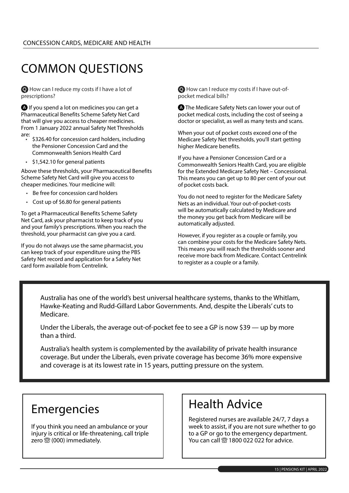## COMMON QUESTIONS

 How can I reduce my costs if I have a lot of prescriptions?

**A** If you spend a lot on medicines you can get a Pharmaceutical Benefits Scheme Safety Net Card that will give you access to cheaper medicines. From 1 January 2022 annual Safety Net Thresholds are:

- \$326.40 for concession card holders, including the Pensioner Concession Card and the Commonwealth Seniors Health Card
- \$1,542.10 for general patients

Above these thresholds, your Pharmaceutical Benefits Scheme Safety Net Card will give you access to cheaper medicines. Your medicine will:

- Be free for concession card holders
- Cost up of \$6.80 for general patients

To get a Pharmaceutical Benefits Scheme Safety Net Card, ask your pharmacist to keep track of you and your family's prescriptions. When you reach the threshold, your pharmacist can give you a card.

If you do not always use the same pharmacist, you can keep track of your expenditure using the PBS Safety Net record and application for a Safety Net card form available from Centrelink.

 How can I reduce my costs if I have out-ofpocket medical bills?

**A** The Medicare Safety Nets can lower your out of pocket medical costs, including the cost of seeing a doctor or specialist, as well as many tests and scans.

When your out of pocket costs exceed one of the Medicare Safety Net thresholds, you'll start getting higher Medicare benefits.

If you have a Pensioner Concession Card or a Commonwealth Seniors Health Card, you are eligible for the Extended Medicare Safety Net – Concessional. This means you can get up to 80 per cent of your out of pocket costs back.

You do not need to register for the Medicare Safety Nets as an individual. Your out-of-pocket-costs will be automatically calculated by Medicare and the money you get back from Medicare will be automatically adjusted.

However, if you register as a couple or family, you can combine your costs for the Medicare Safety Nets. This means you will reach the thresholds sooner and receive more back from Medicare. Contact Centrelink to register as a couple or a family.

Australia has one of the world's best universal healthcare systems, thanks to the Whitlam, Hawke-Keating and Rudd-Gillard Labor Governments. And, despite the Liberals' cuts to Medicare.

Under the Liberals, the average out-of-pocket fee to see a GP is now \$39 — up by more than a third.

Australia's health system is complemented by the availability of private health insurance coverage. But under the Liberals, even private coverage has become 36% more expensive and coverage is at its lowest rate in 15 years, putting pressure on the system.

#### Emergencies

If you think you need an ambulance or your injury is critical or life-threatening, call triple zero  $\circledR$  (000) immediately.

#### Health Advice

Registered nurses are available 24/7, 7 days a week to assist, if you are not sure whether to go to a GP or go to the emergency department. You can call  $\circledR$  1800 022 022 for advice.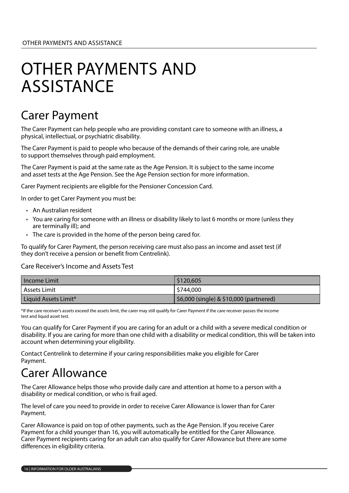## OTHER PAYMENTS AND **ASSISTANCE**

### Carer Payment

The Carer Payment can help people who are providing constant care to someone with an illness, a physical, intellectual, or psychiatric disability.

The Carer Payment is paid to people who because of the demands of their caring role, are unable to support themselves through paid employment.

The Carer Payment is paid at the same rate as the Age Pension. It is subject to the same income and asset tests at the Age Pension. See the Age Pension section for more information.

Carer Payment recipients are eligible for the Pensioner Concession Card.

In order to get Carer Payment you must be:

- An Australian resident
- You are caring for someone with an illness or disability likely to last 6 months or more (unless they are terminally ill); and
- The care is provided in the home of the person being cared for.

To qualify for Carer Payment, the person receiving care must also pass an income and asset test (if they don't receive a pension or benefit from Centrelink).

Care Receiver's Income and Assets Test

| l Income Limit       | \$120,605                               |
|----------------------|-----------------------------------------|
| ' Assets Limit       | \$744,000                               |
| Liquid Assets Limit* | \$6,000 (single) & \$10,000 (partnered) |

\*If the care receiver's assets exceed the assets limit, the carer may still qualify for Carer Payment if the care receiver passes the income test and liquid asset test.

You can qualify for Carer Payment if you are caring for an adult or a child with a severe medical condition or disability. If you are caring for more than one child with a disability or medical condition, this will be taken into account when determining your eligibility.

Contact Centrelink to determine if your caring responsibilities make you eligible for Carer Payment.

#### Carer Allowance

The Carer Allowance helps those who provide daily care and attention at home to a person with a disability or medical condition, or who is frail aged.

The level of care you need to provide in order to receive Carer Allowance is lower than for Carer Payment.

Carer Allowance is paid on top of other payments, such as the Age Pension. If you receive Carer Payment for a child younger than 16, you will automatically be entitled for the Carer Allowance. Carer Payment recipients caring for an adult can also qualify for Carer Allowance but there are some differences in eligibility criteria.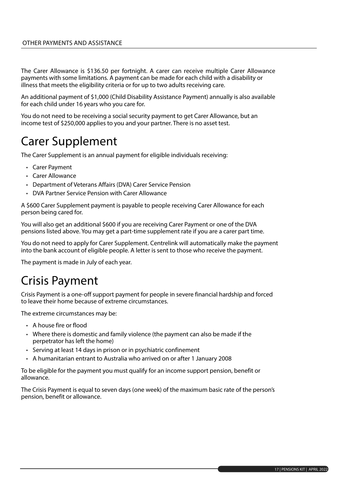The Carer Allowance is \$136.50 per fortnight. A carer can receive multiple Carer Allowance payments with some limitations. A payment can be made for each child with a disability or illness that meets the eligibility criteria or for up to two adults receiving care.

An additional payment of \$1,000 (Child Disability Assistance Payment) annually is also available for each child under 16 years who you care for.

You do not need to be receiving a social security payment to get Carer Allowance, but an income test of \$250,000 applies to you and your partner. There is no asset test.

#### Carer Supplement

The Carer Supplement is an annual payment for eligible individuals receiving:

- Carer Payment
- Carer Allowance
- Department of Veterans Affairs (DVA) Carer Service Pension
- DVA Partner Service Pension with Carer Allowance

A \$600 Carer Supplement payment is payable to people receiving Carer Allowance for each person being cared for.

You will also get an additional \$600 if you are receiving Carer Payment or one of the DVA pensions listed above. You may get a part-time supplement rate if you are a carer part time.

You do not need to apply for Carer Supplement. Centrelink will automatically make the payment into the bank account of eligible people. A letter is sent to those who receive the payment.

The payment is made in July of each year.

#### Crisis Payment

Crisis Payment is a one-off support payment for people in severe financial hardship and forced to leave their home because of extreme circumstances.

The extreme circumstances may be:

- A house fire or flood
- Where there is domestic and family violence (the payment can also be made if the perpetrator has left the home)
- Serving at least 14 days in prison or in psychiatric confinement
- A humanitarian entrant to Australia who arrived on or after 1 January 2008

To be eligible for the payment you must qualify for an income support pension, benefit or allowance.

The Crisis Payment is equal to seven days (one week) of the maximum basic rate of the person's pension, benefit or allowance.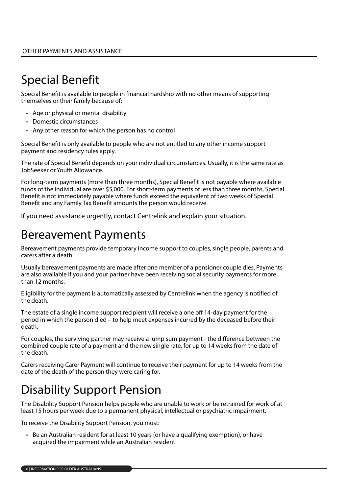## Special Benefit

Special Benefit is available to people in financial hardship with no other means of supporting themselves or their family because of:

- Age or physical or mental disability
- Domestic circumstances
- Any other reason for which the person has no control

Special Benefit is only available to people who are not entitled to any other income support payment and residency rules apply.

The rate of Special Benefit depends on your individual circumstances. Usually, it is the same rate as JobSeeker or Youth Allowance.

For long-term payments (more than three months), Special Benefit is not payable where available funds of the individual are over \$5,000. For short-term payments of less than three months, Special Benefit is not immediately payable where funds exceed the equivalent of two weeks of Special Benefit and any Family Tax Benefit amounts the person would receive.

If you need assistance urgently, contact Centrelink and explain your situation.

#### Bereavement Payments

Bereavement payments provide temporary income support to couples, single people, parents and carers after a death.

Usually bereavement payments are made after one member of a pensioner couple dies. Payments are also available if you and your partner have been receiving social security payments for more than 12 months.

Eligibility for the payment is automatically assessed by Centrelink when the agency is notified of the death.

The estate of a single income support recipient will receive a one off 14-day payment for the period in which the person died – to help meet expenses incurred by the deceased before their death.

For couples, the surviving partner may receive a lump sum payment - the difference between the combined couple rate of a payment and the new single rate, for up to 14 weeks from the date of the death.

Carers receiving Carer Payment will continue to receive their payment for up to 14 weeks from the date of the death of the person they were caring for.

### Disability Support Pension

The Disability Support Pension helps people who are unable to work or be retrained for work of at least 15 hours per week due to a permanent physical, intellectual or psychiatric impairment.

To receive the Disability Support Pension, you must:

• Be an Australian resident for at least 10 years (or have a qualifying exemption), or have acquired the impairment while an Australian resident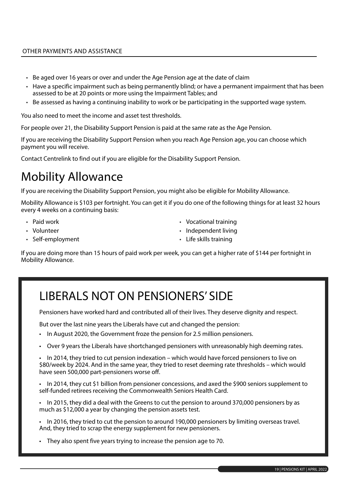- Be aged over 16 years or over and under the Age Pension age at the date of claim
- Have a specific impairment such as being permanently blind; or have a permanent impairment that has been assessed to be at 20 points or more using the Impairment Tables; and
- Be assessed as having a continuing inability to work or be participating in the supported wage system.

You also need to meet the income and asset test thresholds.

For people over 21, the Disability Support Pension is paid at the same rate as the Age Pension.

If you are receiving the Disability Support Pension when you reach Age Pension age, you can choose which payment you will receive.

Contact Centrelink to find out if you are eligible for the Disability Support Pension.

### Mobility Allowance

If you are receiving the Disability Support Pension, you might also be eligible for Mobility Allowance.

Mobility Allowance is \$103 per fortnight. You can get it if you do one of the following things for at least 32 hours every 4 weeks on a continuing basis:

- Paid work
- Volunteer
- Self-employment
- Vocational training
- Independent living
- Life skills training

If you are doing more than 15 hours of paid work per week, you can get a higher rate of \$144 per fortnight in Mobility Allowance.

### LIBERALS NOT ON PENSIONERS' SIDE

Pensioners have worked hard and contributed all of their lives. They deserve dignity and respect.

But over the last nine years the Liberals have cut and changed the pension:

- In August 2020, the Government froze the pension for 2.5 million pensioners.
- Over 9 years the Liberals have shortchanged pensioners with unreasonably high deeming rates.

• In 2014, they tried to cut pension indexation – which would have forced pensioners to live on \$80/week by 2024. And in the same year, they tried to reset deeming rate thresholds – which would have seen 500,000 part-pensioners worse off.

• In 2014, they cut \$1 billion from pensioner concessions, and axed the \$900 seniors supplement to self-funded retirees receiving the Commonwealth Seniors Health Card.

• In 2015, they did a deal with the Greens to cut the pension to around 370,000 pensioners by as much as \$12,000 a year by changing the pension assets test.

• In 2016, they tried to cut the pension to around 190,000 pensioners by limiting overseas travel. And, they tried to scrap the energy supplement for new pensioners.

• They also spent five years trying to increase the pension age to 70.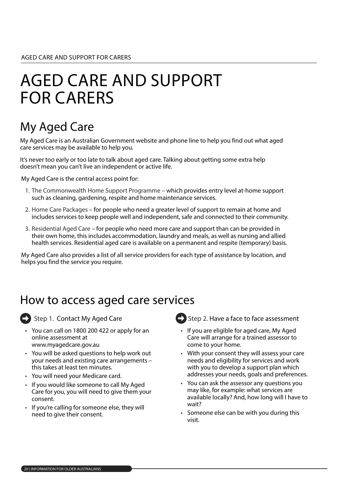## AGED CARE AND SUPPORT FOR CARERS

## My Aged Care

My Aged Care is an Australian Government website and phone line to help you find out what aged care services may be available to help you.

It's never too early or too late to talk about aged care. Talking about getting some extra help doesn't mean you can't live an independent or active life.

My Aged Care is the central access point for:

- 1. The Commonwealth Home Support Programme which provides entry level at-home support such as cleaning, gardening, respite and home maintenance services.
- 2. Home Care Packages for people who need a greater level of support to remain at home and includes services to keep people well and independent, safe and connected to their community.
- 3. Residential Aged Care for people who need more care and support than can be provided in their own home, this includes accommodation, laundry and meals, as well as nursing and allied health services. Residential aged care is available on a permanent and respite (temporary) basis.

My Aged Care also provides a list of all service providers for each type of assistance by location, and helps you find the service you require.

#### How to access aged care services



Step 1. Contact My Aged Care

- You can call on 1800 200 422 or apply for an online assessment at www.myagedcare.gov.au
- You will be asked questions to help work out your needs and existing care arrangements – this takes at least ten minutes.
- You will need your Medicare card.
- If you would like someone to call My Aged Care for you, you will need to give them your consent.
- If you're calling for someone else, they will need to give their consent.
- Step 2. Have a face to face assessment
- If you are eligible for aged care, My Aged Care will arrange for a trained assessor to come to your home.
- With your consent they will assess your care needs and eligibility for services and work with you to develop a support plan which addresses your needs, goals and preferences.
- You can ask the assessor any questions you may like, for example: what services are available locally? And, how long will I have to wait?
- Someone else can be with you during this visit.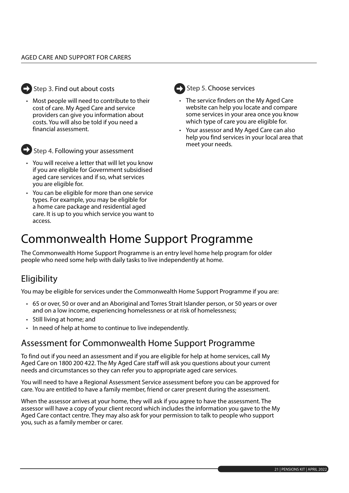

#### Step 3. Find out about costs

• Most people will need to contribute to their cost of care. My Aged Care and service providers can give you information about costs. You will also be told if you need a financial assessment.



Step 4. Following your assessment

- You will receive a letter that will let you know if you are eligible for Government subsidised aged care services and if so, what services you are eligible for.
- You can be eligible for more than one service types. For example, you may be eligible for a home care package and residential aged care. It is up to you which service you want to access.

| ۰.<br>., |
|----------|

#### tep 5. Choose services

- The service finders on the My Aged Care website can help you locate and compare some services in your area once you know which type of care you are eligible for.
- Your assessor and My Aged Care can also help you find services in your local area that meet your needs.

### Commonwealth Home Support Programme

The Commonwealth Home Support Programme is an entry level home help program for older people who need some help with daily tasks to live independently at home.

#### **Eligibility**

You may be eligible for services under the Commonwealth Home Support Programme if you are:

- 65 or over, 50 or over and an Aboriginal and Torres Strait Islander person, or 50 years or over and on a low income, experiencing homelessness or at risk of homelessness;
- Still living at home; and
- In need of help at home to continue to live independently.

#### Assessment for Commonwealth Home Support Programme

To find out if you need an assessment and if you are eligible for help at home services, call My Aged Care on 1800 200 422. The My Aged Care staff will ask you questions about your current needs and circumstances so they can refer you to appropriate aged care services.

You will need to have a Regional Assessment Service assessment before you can be approved for care. You are entitled to have a family member, friend or carer present during the assessment.

When the assessor arrives at your home, they will ask if you agree to have the assessment. The assessor will have a copy of your client record which includes the information you gave to the My Aged Care contact centre. They may also ask for your permission to talk to people who support you, such as a family member or carer.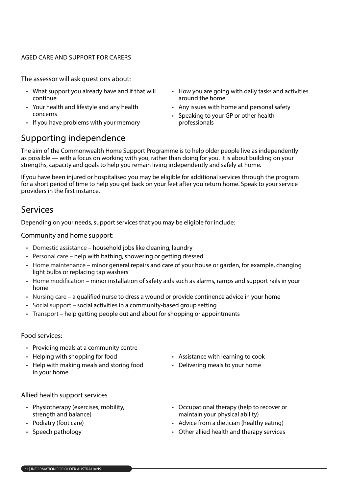The assessor will ask questions about:

- What support you already have and if that will continue
- Your health and lifestyle and any health concerns
- If you have problems with your memory
- How you are going with daily tasks and activities around the home
- Any issues with home and personal safety
- Speaking to your GP or other health professionals

#### Supporting independence

The aim of the Commonwealth Home Support Programme is to help older people live as independently as possible — with a focus on working with you, rather than doing for you. It is about building on your strengths, capacity and goals to help you remain living independently and safely at home.

If you have been injured or hospitalised you may be eligible for additional services through the program for a short period of time to help you get back on your feet after you return home. Speak to your service providers in the first instance.

#### Services

Depending on your needs, support services that you may be eligible for include:

Community and home support:

- Domestic assistance household jobs like cleaning, laundry
- Personal care help with bathing, showering or getting dressed
- Home maintenance minor general repairs and care of your house or garden, for example, changing light bulbs or replacing tap washers
- Home modification minor installation of safety aids such as alarms, ramps and support rails in your home
- Nursing care a qualified nurse to dress a wound or provide continence advice in your home
- Social support social activities in a community-based group setting
- Transport help getting people out and about for shopping or appointments

#### Food services:

- Providing meals at a community centre
- Helping with shopping for food
- Help with making meals and storing food in your home
- Assistance with learning to cook
- Delivering meals to your home

#### Allied health support services

- Physiotherapy (exercises, mobility, strength and balance)
- Podiatry (foot care)
- Speech pathology
- Occupational therapy (help to recover or maintain your physical ability)
- Advice from a dietician (healthy eating)
- Other allied health and therapy services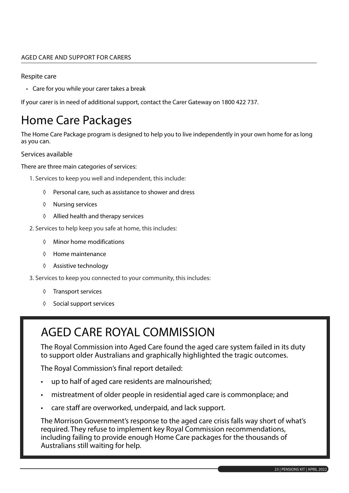#### AGED CARE AND SUPPORT FOR CARERS

#### Respite care

• Care for you while your carer takes a break

If your carer is in need of additional support, contact the Carer Gateway on 1800 422 737.

#### Home Care Packages

The Home Care Package program is designed to help you to live independently in your own home for as long as you can.

#### Services available

There are three main categories of services:

- 1. Services to keep you well and independent, this include:
	- ◊ Personal care, such as assistance to shower and dress
	- ◊ Nursing services
	- ◊ Allied health and therapy services
- 2. Services to help keep you safe at home, this includes:
	- ◊ Minor home modifications
	- ◊ Home maintenance
	- ◊ Assistive technology
- 3. Services to keep you connected to your community, this includes:
	- ◊ Transport services
	- ◊ Social support services

#### AGED CARE ROYAL COMMISSION

The Royal Commission into Aged Care found the aged care system failed in its duty to support older Australians and graphically highlighted the tragic outcomes.

The Royal Commission's final report detailed:

- up to half of aged care residents are malnourished;
- mistreatment of older people in residential aged care is commonplace; and
- care staff are overworked, underpaid, and lack support.

The Morrison Government's response to the aged care crisis falls way short of what's required. They refuse to implement key Royal Commission recommendations, including failing to provide enough Home Care packages for the thousands of Australians still waiting for help.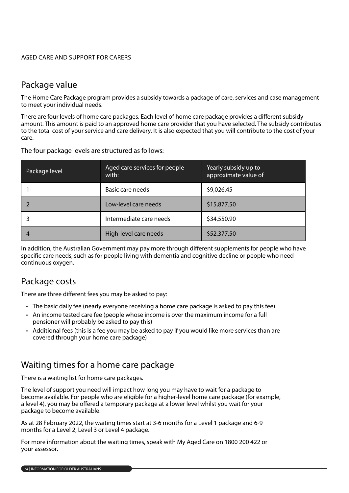#### Package value

The Home Care Package program provides a subsidy towards a package of care, services and case management to meet your individual needs.

There are four levels of home care packages. Each level of home care package provides a different subsidy amount. This amount is paid to an approved home care provider that you have selected. The subsidy contributes to the total cost of your service and care delivery. It is also expected that you will contribute to the cost of your care.

| Package level | Aged care services for people<br>with: | Yearly subsidy up to<br>approximate value of |
|---------------|----------------------------------------|----------------------------------------------|
|               | Basic care needs                       | \$9,026.45                                   |
|               | Low-level care needs                   | \$15,877.50                                  |
|               | Intermediate care needs                | \$34,550.90                                  |
| 4             | High-level care needs                  | \$52,377.50                                  |

The four package levels are structured as follows:

In addition, the Australian Government may pay more through different supplements for people who have specific care needs, such as for people living with dementia and cognitive decline or people who need continuous oxygen.

#### Package costs

There are three different fees you may be asked to pay:

- The basic daily fee (nearly everyone receiving a home care package is asked to pay this fee)
- An income tested care fee (people whose income is over the maximum income for a full pensioner will probably be asked to pay this)
- Additional fees (this is a fee you may be asked to pay if you would like more services than are covered through your home care package)

#### Waiting times for a home care package

There is a waiting list for home care packages.

The level of support you need will impact how long you may have to wait for a package to become available. For people who are eligible for a higher-level home care package (for example, a level 4), you may be offered a temporary package at a lower level whilst you wait for your package to become available.

As at 28 February 2022, the waiting times start at 3-6 months for a Level 1 package and 6-9 months for a Level 2, Level 3 or Level 4 package.

For more information about the waiting times, speak with My Aged Care on 1800 200 422 or your assessor.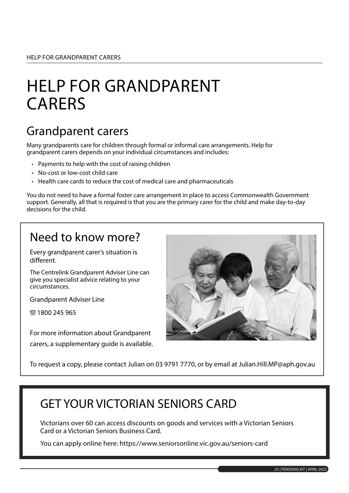# HELP FOR GRANDPARENT CARERS

#### Grandparent carers

Many grandparents care for children through formal or informal care arrangements. Help for grandparent carers depends on your individual circumstances and includes:

- Payments to help with the cost of raising children
- No-cost or low-cost child care
- Health care cards to reduce the cost of medical care and pharmaceuticals

You do not need to have a formal foster care arrangement in place to access Commonwealth Government support. Generally, all that is required is that you are the primary carer for the child and make day-to-day decisions for the child.

#### Need to know more?

Every grandparent carer's situation is different.

The Centrelink Grandparent Adviser Line can give you specialist advice relating to your circumstances.

Grandparent Adviser Line

**® 1800 245 965** 

For more information about Grandparent carers, a supplementary guide is available.



To request a copy, please contact Julian on 03 9791 7770, or by email at Julian.Hill.MP@aph.gov.au

#### GET YOUR VICTORIAN SENIORS CARD

Victorians over 60 can access discounts on goods and services with a Victorian Seniors Card or a Victorian Seniors Business Card.

You can apply online here: https://www.seniorsonline.vic.gov.au/seniors-card